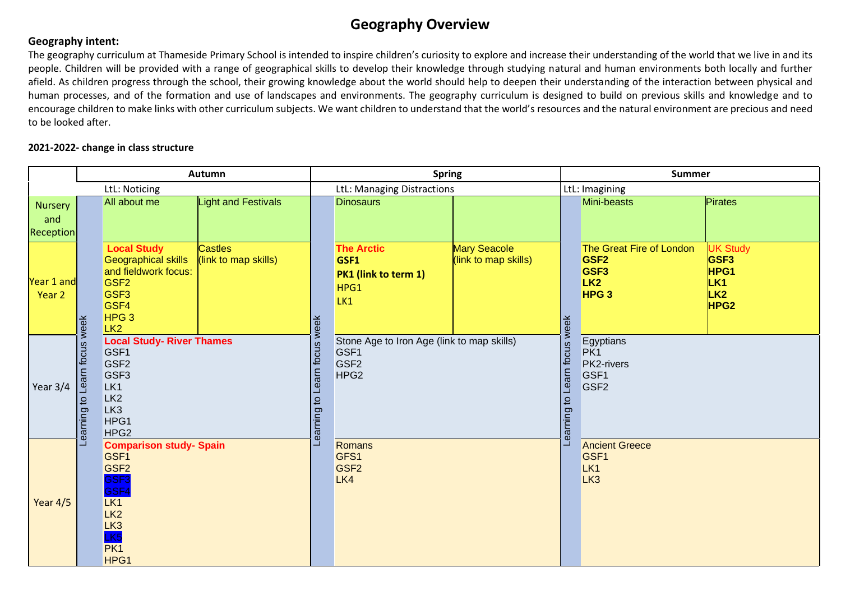## **Geography Overview**

## **Geography intent:**

The geography curriculum at Thameside Primary School is intended to inspire children's curiosity to explore and increase their understanding of the world that we live in and its people. Children will be provided with a range of geographical skills to develop their knowledge through studying natural and human environments both locally and further afield. As children progress through the school, their growing knowledge about the world should help to deepen their understanding of the interaction between physical and human processes, and of the formation and use of landscapes and environments. The geography curriculum is designed to build on previous skills and knowledge and to encourage children to make links with other curriculum subjects. We want children to understand that the world's resources and the natural environment are precious and need to be looked after.

## **2021-2022- change in class structure**

|                                           | Autumn                                                                                                                                                    |                                                                                                                                                                 |                                        | <b>Spring</b>                               |                                                                                            |                                      | <b>Summer</b>    |                                                                                                         |                                                                                           |
|-------------------------------------------|-----------------------------------------------------------------------------------------------------------------------------------------------------------|-----------------------------------------------------------------------------------------------------------------------------------------------------------------|----------------------------------------|---------------------------------------------|--------------------------------------------------------------------------------------------|--------------------------------------|------------------|---------------------------------------------------------------------------------------------------------|-------------------------------------------------------------------------------------------|
| LtL: Noticing                             |                                                                                                                                                           |                                                                                                                                                                 | LtL: Managing Distractions             |                                             |                                                                                            | LtL: Imagining                       |                  |                                                                                                         |                                                                                           |
| <b>Nursery</b><br>and<br><b>Reception</b> |                                                                                                                                                           | All about me                                                                                                                                                    | <b>Light and Festivals</b>             |                                             | <b>Dinosaurs</b>                                                                           |                                      |                  | Mini-beasts                                                                                             | Pirates                                                                                   |
| Year 1 and<br>Year 2                      | week                                                                                                                                                      | <b>Local Study</b><br><b>Geographical skills</b><br>and fieldwork focus:<br>GSF <sub>2</sub><br>GSF <sub>3</sub><br>GSF4<br>HPG <sub>3</sub><br>LK <sub>2</sub> | <b>Castles</b><br>(link to map skills) | week                                        | <b>The Arctic</b><br>GSF1<br>PK1 (link to term 1)<br>HPG1<br>LK1                           | Mary Seacole<br>(link to map skills) | Learn focus week | The Great Fire of London<br>GSF <sub>2</sub><br>GSF <sub>3</sub><br>LK <sub>2</sub><br>HPG <sub>3</sub> | <b>UK Study</b><br>GSF <sub>3</sub><br>HPG1<br>LK <sub>1</sub><br>LK2<br>HPG <sub>2</sub> |
| Year 3/4                                  | focus<br>Learn<br>$\overline{c}$<br>Learning                                                                                                              | <b>Local Study- River Thames</b><br>GSF1<br>GSF <sub>2</sub><br>GSF <sub>3</sub><br>LK1<br>LK <sub>2</sub><br>LK <sub>3</sub><br>HPG1<br>HPG <sub>2</sub>       |                                        | focus<br>earn<br>$\overline{c}$<br>Learning | Stone Age to Iron Age (link to map skills)<br>GSF1<br>GSF <sub>2</sub><br>HPG <sub>2</sub> |                                      |                  | Egyptians<br>PK1<br>PK2-rivers<br>GSF1<br>GSF <sub>2</sub><br>earning to                                |                                                                                           |
| Year $4/5$                                | <b>Comparison study- Spain</b><br>GSF1<br>GSF <sub>2</sub><br>GSF <sub>3</sub><br>GSF4<br>LK1<br>LK <sub>2</sub><br>LK <sub>3</sub><br>LK5<br>PK1<br>HPG1 |                                                                                                                                                                 |                                        |                                             | Romans<br>GFS1<br>GSF <sub>2</sub><br>LK4                                                  |                                      |                  | <b>Ancient Greece</b><br>GSF <sub>1</sub><br>LK1<br>LK <sub>3</sub>                                     |                                                                                           |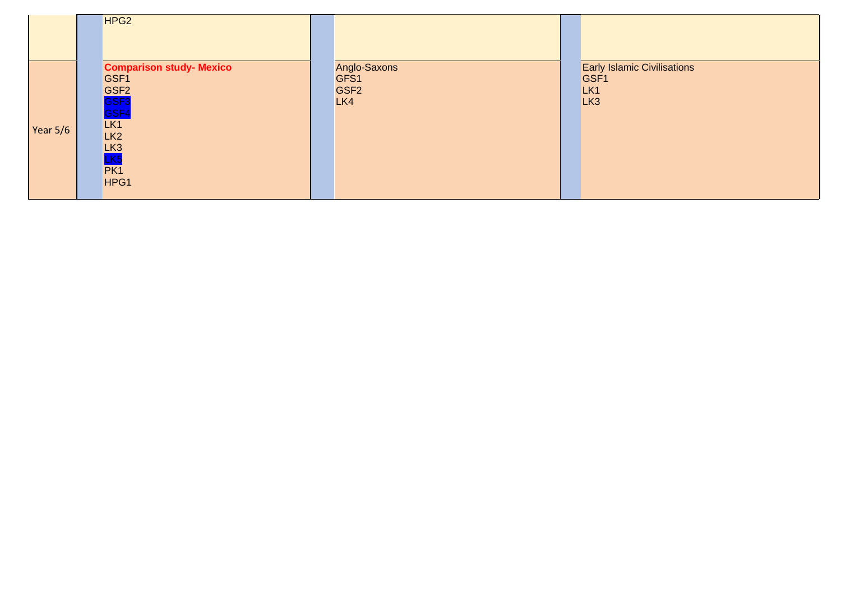| Year 5/6 | HPG <sub>2</sub><br>GSF1<br>GSF <sub>2</sub><br>GSF <sub>3</sub><br><mark>GSF4</mark><br>LK1<br>LK <sub>2</sub><br>LK <sub>3</sub><br>LK <sub>5</sub><br>PK1 | <b>Comparison study- Mexico</b> | Anglo-Saxons<br>GFS1<br>GSF <sub>2</sub><br>LK4 | <b>Early Islamic Civilisations</b><br>GSF1<br>LK <sub>1</sub><br>LK <sub>3</sub> |
|----------|--------------------------------------------------------------------------------------------------------------------------------------------------------------|---------------------------------|-------------------------------------------------|----------------------------------------------------------------------------------|
|          | HPG1                                                                                                                                                         |                                 |                                                 |                                                                                  |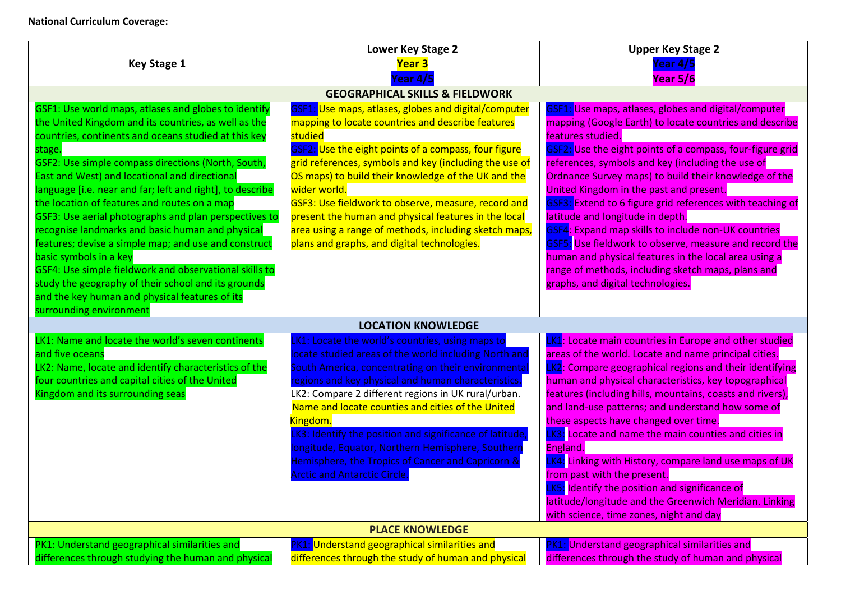## **National Curriculum Coverage:**

|                                                                                                                                                                                                                                                                                                                                                                                                                                                                                                                                                                                                                                                                                                                                                                      | Lower Key Stage 2                                                                                                                                                                                                                                                                                                                                                                                                                                                                                                                                         | <b>Upper Key Stage 2</b>                                                                                                                                                                                                                                                                                                                                                                                                                                                                                                                                                                                                                                                                                                         |  |  |
|----------------------------------------------------------------------------------------------------------------------------------------------------------------------------------------------------------------------------------------------------------------------------------------------------------------------------------------------------------------------------------------------------------------------------------------------------------------------------------------------------------------------------------------------------------------------------------------------------------------------------------------------------------------------------------------------------------------------------------------------------------------------|-----------------------------------------------------------------------------------------------------------------------------------------------------------------------------------------------------------------------------------------------------------------------------------------------------------------------------------------------------------------------------------------------------------------------------------------------------------------------------------------------------------------------------------------------------------|----------------------------------------------------------------------------------------------------------------------------------------------------------------------------------------------------------------------------------------------------------------------------------------------------------------------------------------------------------------------------------------------------------------------------------------------------------------------------------------------------------------------------------------------------------------------------------------------------------------------------------------------------------------------------------------------------------------------------------|--|--|
| <b>Key Stage 1</b>                                                                                                                                                                                                                                                                                                                                                                                                                                                                                                                                                                                                                                                                                                                                                   | Year 3                                                                                                                                                                                                                                                                                                                                                                                                                                                                                                                                                    | Year 4/5                                                                                                                                                                                                                                                                                                                                                                                                                                                                                                                                                                                                                                                                                                                         |  |  |
|                                                                                                                                                                                                                                                                                                                                                                                                                                                                                                                                                                                                                                                                                                                                                                      | ear 4/5                                                                                                                                                                                                                                                                                                                                                                                                                                                                                                                                                   | Year 5/6                                                                                                                                                                                                                                                                                                                                                                                                                                                                                                                                                                                                                                                                                                                         |  |  |
|                                                                                                                                                                                                                                                                                                                                                                                                                                                                                                                                                                                                                                                                                                                                                                      | <b>GEOGRAPHICAL SKILLS &amp; FIELDWORK</b>                                                                                                                                                                                                                                                                                                                                                                                                                                                                                                                |                                                                                                                                                                                                                                                                                                                                                                                                                                                                                                                                                                                                                                                                                                                                  |  |  |
| GSF1: Use world maps, atlases and globes to identify<br>the United Kingdom and its countries, as well as the<br>countries, continents and oceans studied at this key<br>stage.<br>GSF2: Use simple compass directions (North, South,<br>East and West) and locational and directional<br>language [i.e. near and far; left and right], to describe<br>the location of features and routes on a map<br>GSF3: Use aerial photographs and plan perspectives to<br>recognise landmarks and basic human and physical<br>features; devise a simple map; and use and construct<br>basic symbols in a key<br>GSF4: Use simple fieldwork and observational skills to<br>study the geography of their school and its grounds<br>and the key human and physical features of its | GSF1: Use maps, atlases, globes and digital/computer<br>mapping to locate countries and describe features<br>studied<br>GSF2: Use the eight points of a compass, four figure<br>grid references, symbols and key (including the use of<br>OS maps) to build their knowledge of the UK and the<br>wider world.<br>GSF3: Use fieldwork to observe, measure, record and<br>present the human and physical features in the local<br>area using a range of methods, including sketch maps,<br>plans and graphs, and digital technologies.                      | GSF1: Use maps, atlases, globes and digital/computer<br>mapping (Google Earth) to locate countries and describe<br>features studied.<br>GSF2: Use the eight points of a compass, four-figure grid<br>references, symbols and key (including the use of<br>Ordnance Survey maps) to build their knowledge of the<br>United Kingdom in the past and present.<br>GSF3: Extend to 6 figure grid references with teaching of<br>latitude and longitude in depth.<br>GSF4: Expand map skills to include non-UK countries<br>GSF5: Use fieldwork to observe, measure and record the<br>human and physical features in the local area using a<br>range of methods, including sketch maps, plans and<br>graphs, and digital technologies. |  |  |
| surrounding environment                                                                                                                                                                                                                                                                                                                                                                                                                                                                                                                                                                                                                                                                                                                                              | <b>LOCATION KNOWLEDGE</b>                                                                                                                                                                                                                                                                                                                                                                                                                                                                                                                                 |                                                                                                                                                                                                                                                                                                                                                                                                                                                                                                                                                                                                                                                                                                                                  |  |  |
| LK1: Name and locate the world's seven continents<br>and five oceans<br>LK2: Name, locate and identify characteristics of the<br>four countries and capital cities of the United<br>Kingdom and its surrounding seas                                                                                                                                                                                                                                                                                                                                                                                                                                                                                                                                                 | K1: Locate the world's countries, using maps to<br>locate studied areas of the world including North and<br>South America, concentrating on their environmenta<br>regions and key physical and human characteristics.<br>LK2: Compare 2 different regions in UK rural/urban.<br>Name and locate counties and cities of the United<br>Kingdom.<br>K3: Identify the position and significance of latitude,<br>longitude, Equator, Northern Hemisphere, Southern<br>Hemisphere, the Tropics of Cancer and Capricorn &<br><b>Arctic and Antarctic Circle.</b> | K1: Locate main countries in Europe and other studied<br>areas of the world. Locate and name principal cities.<br><b>LK2</b> : Compare geographical regions and their identifying<br>human and physical characteristics, key topographical<br>features (including hills, mountains, coasts and rivers),<br>and land-use patterns; and understand how some of<br>these aspects have changed over time.<br>K3: Locate and name the main counties and cities in<br>England.<br>K4: Linking with History, compare land use maps of UK<br>from past with the present.<br>LK5: Identify the position and significance of<br>latitude/longitude and the Greenwich Meridian. Linking<br>with science, time zones, night and day          |  |  |
|                                                                                                                                                                                                                                                                                                                                                                                                                                                                                                                                                                                                                                                                                                                                                                      | <b>PLACE KNOWLEDGE</b>                                                                                                                                                                                                                                                                                                                                                                                                                                                                                                                                    |                                                                                                                                                                                                                                                                                                                                                                                                                                                                                                                                                                                                                                                                                                                                  |  |  |
| PK1: Understand geographical similarities and                                                                                                                                                                                                                                                                                                                                                                                                                                                                                                                                                                                                                                                                                                                        | PK1: Understand geographical similarities and                                                                                                                                                                                                                                                                                                                                                                                                                                                                                                             | <b>PK1: Understand geographical similarities and</b>                                                                                                                                                                                                                                                                                                                                                                                                                                                                                                                                                                                                                                                                             |  |  |
| differences through studying the human and physical                                                                                                                                                                                                                                                                                                                                                                                                                                                                                                                                                                                                                                                                                                                  | differences through the study of human and physical                                                                                                                                                                                                                                                                                                                                                                                                                                                                                                       | differences through the study of human and physical                                                                                                                                                                                                                                                                                                                                                                                                                                                                                                                                                                                                                                                                              |  |  |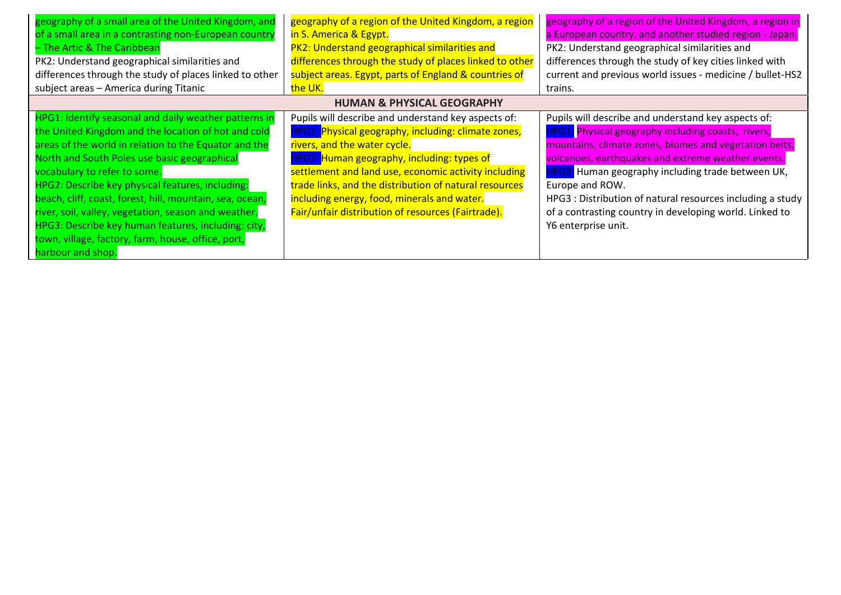| geography of a small area of the United Kingdom, and     | geography of a region of the United Kingdom, a region   | geography of a region of the United Kingdom, a region in   |  |  |
|----------------------------------------------------------|---------------------------------------------------------|------------------------------------------------------------|--|--|
| of a small area in a contrasting non-European country    | in S. America & Egypt.                                  | a European country, and another studied region - Japan.    |  |  |
| - The Artic & The Caribbean                              | PK2: Understand geographical similarities and           | PK2: Understand geographical similarities and              |  |  |
| PK2: Understand geographical similarities and            | differences through the study of places linked to other | differences through the study of key cities linked with    |  |  |
| differences through the study of places linked to other  | subject areas. Egypt, parts of England & countries of   | current and previous world issues - medicine / bullet-HS2  |  |  |
| subject areas - America during Titanic                   | the UK.                                                 | trains.                                                    |  |  |
|                                                          | <b>HUMAN &amp; PHYSICAL GEOGRAPHY</b>                   |                                                            |  |  |
| HPG1: Identify seasonal and daily weather patterns in    | Pupils will describe and understand key aspects of:     | Pupils will describe and understand key aspects of:        |  |  |
| the United Kingdom and the location of hot and cold      | HPG1: Physical geography, including: climate zones,     | <b>HPG1:</b> Physical geography including coasts, rivers,  |  |  |
| areas of the world in relation to the Equator and the    | rivers, and the water cycle.                            | mountains, climate zones, biomes and vegetation belts,     |  |  |
| North and South Poles use basic geographical             | HPG2: Human geography, including: types of              | volcanoes, earthquakes and extreme weather events.         |  |  |
| vocabulary to refer to some.                             | settlement and land use, economic activity including    | HPG2: Human geography including trade between UK,          |  |  |
| HPG2: Describe key physical features, including:         | trade links, and the distribution of natural resources  | Europe and ROW.                                            |  |  |
| beach, cliff, coast, forest, hill, mountain, sea, ocean, | including energy, food, minerals and water.             | HPG3 : Distribution of natural resources including a study |  |  |
| river, soil, valley, vegetation, season and weather.     | Fair/unfair distribution of resources (Fairtrade).      | of a contrasting country in developing world. Linked to    |  |  |
| HPG3: Describe key human features, including: city,      |                                                         | Y6 enterprise unit.                                        |  |  |
| town, village, factory, farm, house, office, port,       |                                                         |                                                            |  |  |
| harbour and shop.                                        |                                                         |                                                            |  |  |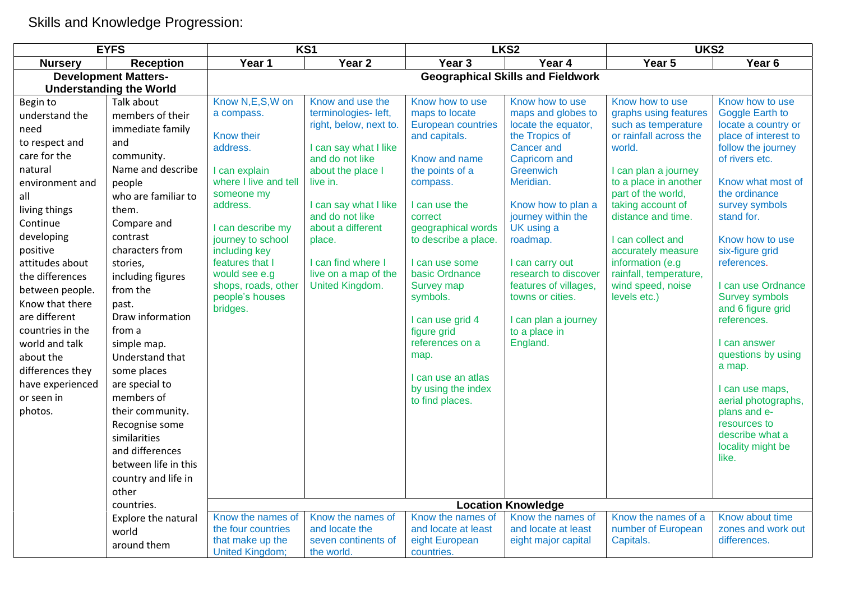Skills and Knowledge Progression:

| <b>EYFS</b>                    |                      | KS1                                        |                                      |                                          | LKS <sub>2</sub>                    | UKS2                             |                                            |  |  |
|--------------------------------|----------------------|--------------------------------------------|--------------------------------------|------------------------------------------|-------------------------------------|----------------------------------|--------------------------------------------|--|--|
| <b>Nursery</b>                 | <b>Reception</b>     | Year 1                                     | Year <sub>2</sub>                    | Year 3                                   | Year 4                              | Year 5                           | Year <sub>6</sub>                          |  |  |
| <b>Development Matters-</b>    |                      | <b>Geographical Skills and Fieldwork</b>   |                                      |                                          |                                     |                                  |                                            |  |  |
| <b>Understanding the World</b> |                      |                                            |                                      |                                          |                                     |                                  |                                            |  |  |
| Begin to                       | Talk about           | Know N,E,S,W on                            | Know and use the                     | Know how to use                          | Know how to use                     | Know how to use                  | Know how to use                            |  |  |
| understand the                 | members of their     | a compass.                                 | terminologies- left,                 | maps to locate                           | maps and globes to                  | graphs using features            | Goggle Earth to                            |  |  |
| need                           | immediate family     |                                            | right, below, next to.               | <b>European countries</b>                | locate the equator,                 | such as temperature              | locate a country or                        |  |  |
| to respect and                 | and                  | Know their<br>address.                     | I can say what I like                | and capitals.                            | the Tropics of<br><b>Cancer and</b> | or rainfall across the<br>world. | place of interest to<br>follow the journey |  |  |
| care for the                   | community.           |                                            | and do not like                      | Know and name                            | Capricorn and                       |                                  | of rivers etc.                             |  |  |
| natural                        | Name and describe    | I can explain                              | about the place I                    | the points of a                          | <b>Greenwich</b>                    | I can plan a journey             |                                            |  |  |
| environment and                | people               | where I live and tell                      | live in.                             | compass.                                 | Meridian.                           | to a place in another            | Know what most of                          |  |  |
| all                            | who are familiar to  | someone my                                 |                                      |                                          |                                     | part of the world,               | the ordinance                              |  |  |
| living things                  | them.                | address.                                   | I can say what I like                | I can use the                            | Know how to plan a                  | taking account of                | survey symbols                             |  |  |
| Continue                       | Compare and          | I can describe my                          | and do not like<br>about a different | correct<br>geographical words            | journey within the<br>UK using a    | distance and time.               | stand for.                                 |  |  |
| developing                     | contrast             | journey to school                          | place.                               | to describe a place.                     | roadmap.                            | I can collect and                | Know how to use                            |  |  |
| positive                       | characters from      | including key                              |                                      |                                          |                                     | accurately measure               | six-figure grid                            |  |  |
| attitudes about                | stories,             | features that I                            | I can find where I                   | I can use some                           | I can carry out                     | information (e.g                 | references.                                |  |  |
| the differences                | including figures    | would see e.g                              | live on a map of the                 | basic Ordnance                           | research to discover                | rainfall, temperature,           |                                            |  |  |
| between people.                | from the             | shops, roads, other                        | United Kingdom.                      | Survey map                               | features of villages,               | wind speed, noise                | I can use Ordnance                         |  |  |
| Know that there                | past.                | people's houses<br>bridges.                |                                      | symbols.                                 | towns or cities.                    | levels etc.)                     | <b>Survey symbols</b><br>and 6 figure grid |  |  |
| are different                  | Draw information     |                                            |                                      | I can use grid 4                         | I can plan a journey                |                                  | references.                                |  |  |
| countries in the               | from a               |                                            |                                      | figure grid                              | to a place in                       |                                  |                                            |  |  |
| world and talk                 | simple map.          |                                            |                                      | references on a                          | England.                            |                                  | I can answer                               |  |  |
| about the                      | Understand that      |                                            |                                      | map.                                     |                                     |                                  | questions by using                         |  |  |
| differences they               | some places          |                                            |                                      |                                          |                                     |                                  | a map.                                     |  |  |
| have experienced               | are special to       |                                            |                                      | I can use an atlas<br>by using the index |                                     |                                  | I can use maps,                            |  |  |
| or seen in                     | members of           |                                            |                                      | to find places.                          |                                     |                                  | aerial photographs,                        |  |  |
| photos.                        | their community.     |                                            |                                      |                                          |                                     |                                  | plans and e-                               |  |  |
|                                | Recognise some       |                                            |                                      |                                          |                                     |                                  | resources to                               |  |  |
|                                | similarities         |                                            |                                      |                                          |                                     |                                  | describe what a                            |  |  |
|                                | and differences      |                                            |                                      |                                          |                                     |                                  | locality might be                          |  |  |
|                                | between life in this |                                            |                                      |                                          |                                     |                                  | like.                                      |  |  |
|                                | country and life in  |                                            |                                      |                                          |                                     |                                  |                                            |  |  |
|                                | other                |                                            |                                      |                                          |                                     |                                  |                                            |  |  |
|                                | countries.           |                                            |                                      |                                          | <b>Location Knowledge</b>           |                                  |                                            |  |  |
|                                | Explore the natural  | Know the names of                          | Know the names of                    | Know the names of                        | Know the names of                   | Know the names of a              | Know about time                            |  |  |
|                                | world                | the four countries                         | and locate the                       | and locate at least                      | and locate at least                 | number of European               | zones and work out                         |  |  |
|                                | around them          | that make up the<br><b>United Kingdom;</b> | seven continents of<br>the world.    | eight European<br>countries.             | eight major capital                 | Capitals.                        | differences.                               |  |  |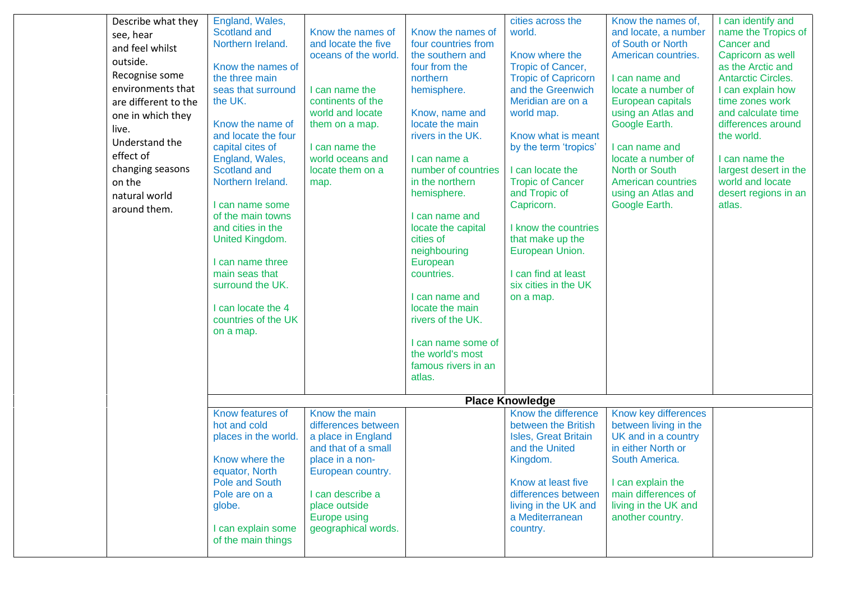| Describe what they   | England, Wales,                        |                      |                                        | cities across the                               | Know the names of,                   | I can identify and                   |
|----------------------|----------------------------------------|----------------------|----------------------------------------|-------------------------------------------------|--------------------------------------|--------------------------------------|
| see, hear            | Scotland and                           | Know the names of    | Know the names of                      | world.                                          | and locate, a number                 | name the Tropics of                  |
| and feel whilst      | Northern Ireland.                      | and locate the five  | four countries from                    |                                                 | of South or North                    | <b>Cancer and</b>                    |
| outside.             |                                        | oceans of the world. | the southern and                       | Know where the                                  | American countries.                  | Capricorn as well                    |
| Recognise some       | Know the names of                      |                      | four from the                          | <b>Tropic of Cancer,</b>                        |                                      | as the Arctic and                    |
| environments that    | the three main<br>seas that surround   | I can name the       | northern                               | <b>Tropic of Capricorn</b><br>and the Greenwich | I can name and<br>locate a number of | <b>Antarctic Circles.</b>            |
| are different to the | the UK.                                | continents of the    | hemisphere.                            | Meridian are on a                               | European capitals                    | I can explain how<br>time zones work |
|                      |                                        | world and locate     | Know, name and                         | world map.                                      | using an Atlas and                   | and calculate time                   |
| one in which they    | Know the name of                       | them on a map.       | locate the main                        |                                                 | Google Earth.                        | differences around                   |
| live.                | and locate the four                    |                      | rivers in the UK.                      | Know what is meant                              |                                      | the world.                           |
| Understand the       | capital cites of                       | I can name the       |                                        | by the term 'tropics'                           | I can name and                       |                                      |
| effect of            | England, Wales,                        | world oceans and     | I can name a                           |                                                 | locate a number of                   | I can name the                       |
| changing seasons     | Scotland and                           | locate them on a     | number of countries                    | I can locate the                                | North or South                       | largest desert in the                |
| on the               | Northern Ireland.                      | map.                 | in the northern                        | <b>Tropic of Cancer</b>                         | <b>American countries</b>            | world and locate                     |
| natural world        |                                        |                      | hemisphere.                            | and Tropic of                                   | using an Atlas and                   | desert regions in an                 |
| around them.         | I can name some                        |                      |                                        | Capricorn.                                      | Google Earth.                        | atlas.                               |
|                      | of the main towns<br>and cities in the |                      | I can name and<br>locate the capital   | I know the countries                            |                                      |                                      |
|                      | United Kingdom.                        |                      | cities of                              | that make up the                                |                                      |                                      |
|                      |                                        |                      | neighbouring                           | European Union.                                 |                                      |                                      |
|                      | I can name three                       |                      | European                               |                                                 |                                      |                                      |
|                      | main seas that                         |                      | countries.                             | I can find at least                             |                                      |                                      |
|                      | surround the UK.                       |                      |                                        | six cities in the UK                            |                                      |                                      |
|                      |                                        |                      | I can name and                         | on a map.                                       |                                      |                                      |
|                      | I can locate the 4                     |                      | locate the main                        |                                                 |                                      |                                      |
|                      | countries of the UK                    |                      | rivers of the UK.                      |                                                 |                                      |                                      |
|                      | on a map.                              |                      |                                        |                                                 |                                      |                                      |
|                      |                                        |                      | I can name some of<br>the world's most |                                                 |                                      |                                      |
|                      |                                        |                      | famous rivers in an                    |                                                 |                                      |                                      |
|                      |                                        |                      | atlas.                                 |                                                 |                                      |                                      |
|                      |                                        |                      |                                        |                                                 |                                      |                                      |
|                      |                                        |                      |                                        | <b>Place Knowledge</b>                          |                                      |                                      |
|                      | Know features of                       | Know the main        |                                        | Know the difference                             | Know key differences                 |                                      |
|                      | hot and cold                           | differences between  |                                        | between the British                             | between living in the                |                                      |
|                      | places in the world.                   | a place in England   |                                        | <b>Isles, Great Britain</b>                     | UK and in a country                  |                                      |
|                      |                                        | and that of a small  |                                        | and the United                                  | in either North or                   |                                      |
|                      | Know where the                         | place in a non-      |                                        | Kingdom.                                        | South America.                       |                                      |
|                      | equator, North<br>Pole and South       | European country.    |                                        | Know at least five                              | I can explain the                    |                                      |
|                      | Pole are on a                          | I can describe a     |                                        | differences between                             | main differences of                  |                                      |
|                      | globe.                                 | place outside        |                                        | living in the UK and                            | living in the UK and                 |                                      |
|                      |                                        | <b>Europe using</b>  |                                        | a Mediterranean                                 | another country.                     |                                      |
|                      | I can explain some                     | geographical words.  |                                        | country.                                        |                                      |                                      |
|                      | of the main things                     |                      |                                        |                                                 |                                      |                                      |
|                      |                                        |                      |                                        |                                                 |                                      |                                      |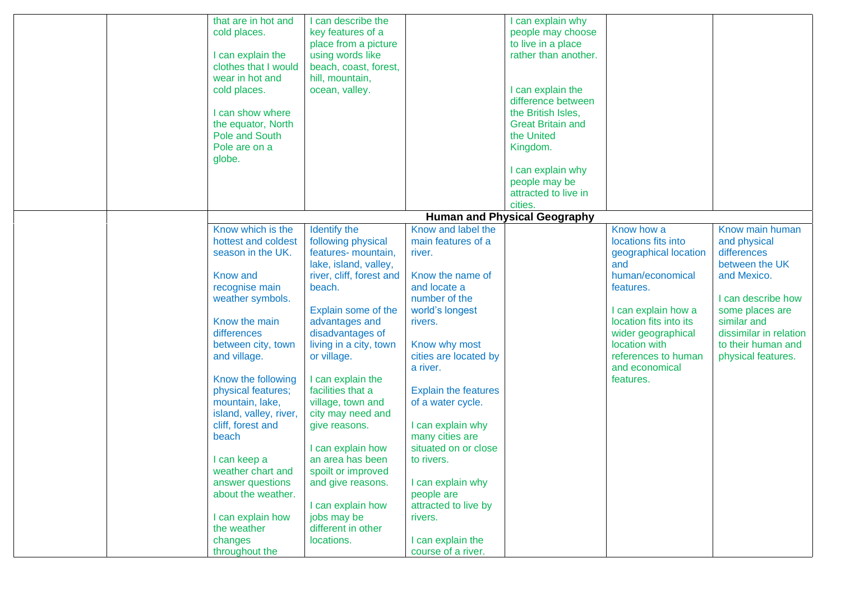|  | that are in hot and<br>cold places.<br>I can explain the<br>clothes that I would<br>wear in hot and<br>cold places.<br>I can show where<br>the equator, North<br>Pole and South | I can describe the<br>key features of a<br>place from a picture<br>using words like<br>beach, coast, forest,<br>hill, mountain,<br>ocean, valley. |                                                                      | I can explain why<br>people may choose<br>to live in a place<br>rather than another.<br>I can explain the<br>difference between<br>the British Isles,<br><b>Great Britain and</b><br>the United |                                                                                      |                                                                                   |
|--|---------------------------------------------------------------------------------------------------------------------------------------------------------------------------------|---------------------------------------------------------------------------------------------------------------------------------------------------|----------------------------------------------------------------------|-------------------------------------------------------------------------------------------------------------------------------------------------------------------------------------------------|--------------------------------------------------------------------------------------|-----------------------------------------------------------------------------------|
|  | Pole are on a<br>globe.                                                                                                                                                         |                                                                                                                                                   |                                                                      | Kingdom.<br>I can explain why<br>people may be<br>attracted to live in<br>cities.                                                                                                               |                                                                                      |                                                                                   |
|  |                                                                                                                                                                                 |                                                                                                                                                   |                                                                      | <b>Human and Physical Geography</b>                                                                                                                                                             |                                                                                      |                                                                                   |
|  | Know which is the<br>hottest and coldest<br>season in the UK.                                                                                                                   | Identify the<br>following physical<br>features- mountain,<br>lake, island, valley,                                                                | Know and label the<br>main features of a<br>river.                   |                                                                                                                                                                                                 | Know how a<br>locations fits into<br>geographical location<br>and                    | Know main human<br>and physical<br>differences<br>between the UK                  |
|  | Know and<br>recognise main<br>weather symbols.                                                                                                                                  | river, cliff, forest and<br>beach.<br>Explain some of the                                                                                         | Know the name of<br>and locate a<br>number of the<br>world's longest |                                                                                                                                                                                                 | human/economical<br>features.<br>I can explain how a                                 | and Mexico.<br>I can describe how<br>some places are                              |
|  | Know the main<br>differences<br>between city, town<br>and village.                                                                                                              | advantages and<br>disadvantages of<br>living in a city, town<br>or village.                                                                       | rivers.<br>Know why most<br>cities are located by                    |                                                                                                                                                                                                 | location fits into its<br>wider geographical<br>location with<br>references to human | similar and<br>dissimilar in relation<br>to their human and<br>physical features. |
|  | Know the following<br>physical features;                                                                                                                                        | I can explain the<br>facilities that a                                                                                                            | a river.<br><b>Explain the features</b>                              |                                                                                                                                                                                                 | and economical<br>features.                                                          |                                                                                   |
|  | mountain, lake,<br>island, valley, river,<br>cliff, forest and<br>beach                                                                                                         | village, town and<br>city may need and<br>give reasons.                                                                                           | of a water cycle.<br>I can explain why<br>many cities are            |                                                                                                                                                                                                 |                                                                                      |                                                                                   |
|  | I can keep a<br>weather chart and                                                                                                                                               | I can explain how<br>an area has been<br>spoilt or improved                                                                                       | situated on or close<br>to rivers.                                   |                                                                                                                                                                                                 |                                                                                      |                                                                                   |
|  | answer questions<br>about the weather.<br>I can explain how                                                                                                                     | and give reasons.<br>I can explain how<br>jobs may be                                                                                             | I can explain why<br>people are<br>attracted to live by<br>rivers.   |                                                                                                                                                                                                 |                                                                                      |                                                                                   |
|  | the weather<br>changes<br>throughout the                                                                                                                                        | different in other<br>locations.                                                                                                                  | I can explain the<br>course of a river.                              |                                                                                                                                                                                                 |                                                                                      |                                                                                   |